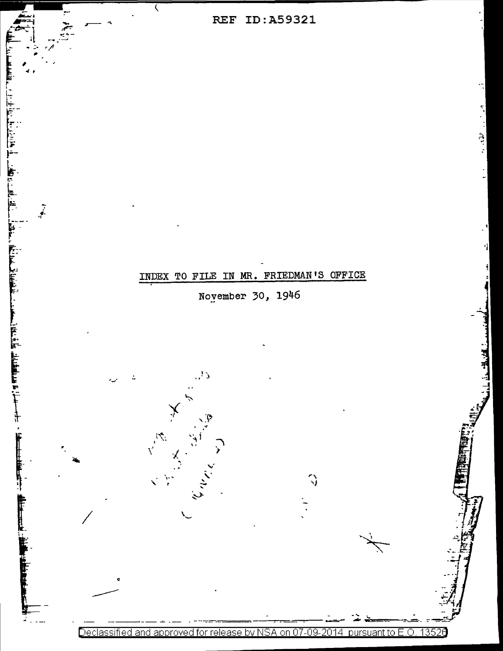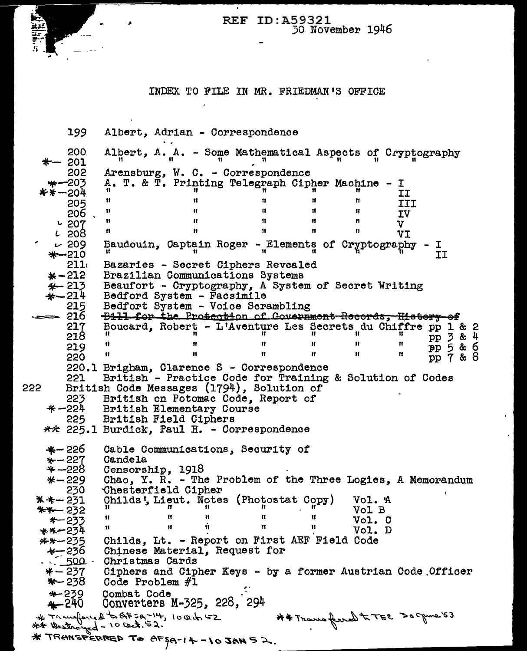**REF ID: A59321** 30 November 1946

## INDEX TO FILE IN MR. FRIEDMAN'S OFFICE

199 Albert. Adrian - Correspondence 200 Albert, A. A. - Some Mathematical Aspects of Cryptography  $-201$  $\mathbf{11}$ Arensburg, W. C. - Correspondence<br>A. T. & T. Printing Telegraph Cipher Machine - I 202  $\ast -203$ \*\*−204 II  $\mathbf{H}$  $\mathbf{H}$  $\mathbf{H}$  $\mathbf{H}$  $\mathbf{H}$ 205 **TIT**  $\mathbf{H}$  $\mathbf{u}$  $\mathbf{H}$  $\mathbf{H}$  $\mathbf{H}$  $206$ . IV  $\mathbf{u}$  $\mathbf{H}$  $\mathbf{H}$  $\mathbf{H}$  $\mathbf{H}$  $0.207$  $\mathbf{v}$  $\mathbf{H}$  $\mathbf{H}$  $\mathbf{H}$  $\mathbf{H}$  $\mathbf{H}$  $1208$ VI Baudouin, Captain Roger - Elements of Cryptography - I  $~109$  $*-210$ **TT**  $211<sub>1</sub>$ Bazaries - Secret Ciphers Revealed  $* - 212$ Brazilian Communications Systems  $*$  213 Beaufort - Cryptography, A System of Secret Writing  $\hat{\textbf{x}}$  - 214 Bedford System - Facsimile 215 Bedfort System - Voice Scrambling 216 Bill for the Protection of Government Records; History of 217 Boucard, Robert - L'Aventure Les Secrets du Chiffre pp 1 & 2 pp 3 & 4<br>pp 5 & 6<br>pp 7 & 8 ū  $\overline{\mathbf{u}}$ 218  $\pmb{\mathfrak{h}}$  $\mathbf{H}$ Ħ Ħ  $\mathbf{H}$  $\mathbf{H}$ 219  $\pmb{\mathfrak{m}}$  $\mathbf{H}$ Ħ  $\mathbf{H}$  $\mathbf{H}$ 220 220.1 Brigham, Clarence S - Correspondence British - Practice Code for Training & Solution of Codes 221 British Code Messages (1794), Solution of 222 223 British on Potomac Code, Report of  $* - 224$ British Elementary Course 225 British Field Ciphers \*\* 225.1 Burdick, Paul H. - Correspondence  $*-226$ Cable Communications, Security of  $* - 227$ Candela \* –228 Censorship, 1918  $* - 229$ Chao, Y. R. - The Problem of the Three Logies, A Memorandum Chesterfield Cipher 230 \*\*-231 Childs', Lieut. Notes (Photostat Copy) Vol. A -11  $*$  $-232$ Vol B  $* - 233$  $\mathbf{H}$  $\mathbf{u}$  $\mathbf{u}$  $\mathbf{u}$  $\mathbf{u}$ Vol. C Ĥ 11  $\mathbf{H}$  $\mathbf{H}$ 11 \*\*-234 Vol. D Childs, Lt. - Report on First AEF Field Code  $***-235$ <br>236 - \* Chinese Material, Request for  $\sim$  500  $-$ Christmas Cards  $* - 237$ Ciphers and Cipher Keys - by a former Austrian Code Officer  $*-238$ Code Problem #1  $* - 239$ Combat Code Converters M-325, 228, 294  $+240$ \* Transferred to AF 2A-14, 1004, 52 A # Trace ferred to TEC 30 guve 53  $**$  Westroyed - 10 Cect. 52. \* TRANSFERRED TO AFSA-14-10 JAN 52.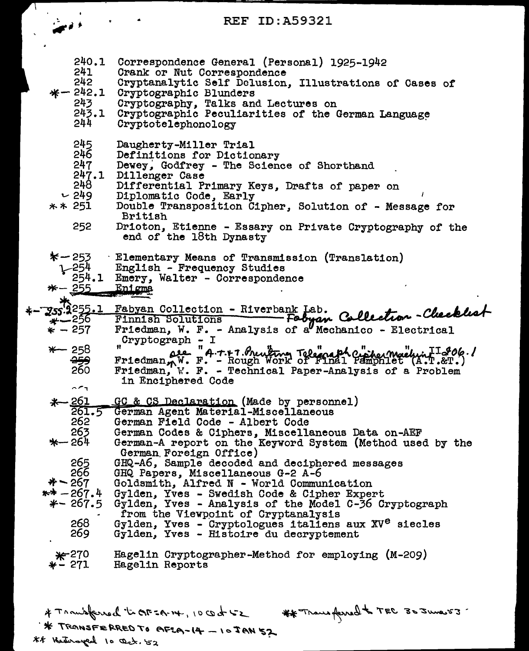## REF ID:A59321

|  | 240.1<br>241<br>242<br>$* - 242.1$<br>243<br>243.1<br>244    | Correspondence General (Personal) 1925-1942<br>Crank or Nut Correspondence<br>Cryptanalytic Self Delusion, Illustrations of Cases of<br>Cryptographic Blunders<br>Cryptography, Talks and Lectures on<br>Cryptographic Peculiarities of the German Language<br>Cryptotelephonology                                                                                |
|--|--------------------------------------------------------------|-------------------------------------------------------------------------------------------------------------------------------------------------------------------------------------------------------------------------------------------------------------------------------------------------------------------------------------------------------------------|
|  | 245<br>246<br>247<br>247.1<br>248<br>$-249$<br>** 251<br>252 | Daugherty-Miller Trial<br>Definitions for Dictionary<br>Dewey, Godfrey - The Science of Shorthand<br>Dillenger Case<br>Differential Primary Keys, Drafts of paper on<br>Diplomatic Code, Early<br>Double Transposition Cipher, Solution of - Message for<br><b>British</b><br>Drioton, Etienne - Essary on Private Cryptography of the<br>end of the 18th Dynasty |
|  | *−253<br>254<br>254.1<br>$*-255$                             | Elementary Means of Transmission (Translation)<br>English - Frequency Studies<br>Emery, Walter - Correspondence<br>Enigma                                                                                                                                                                                                                                         |
|  | Z55.9255.1                                                   | Fabyan Collection - Riverbank Lab.                                                                                                                                                                                                                                                                                                                                |
|  | ઋ—256                                                        | Fabyan Collection-Checklest<br>Finnish Solutions                                                                                                                                                                                                                                                                                                                  |
|  | $* - 257$                                                    | Friedman, W. F. - Analysis of a Mechanico - Electrical<br>Cryptograph - I                                                                                                                                                                                                                                                                                         |
|  | $*-$ 258                                                     | Friedmann W. F. - Rough Work of Final Pemphlet (A.T.&O6./                                                                                                                                                                                                                                                                                                         |
|  | <del>259</del><br>260                                        |                                                                                                                                                                                                                                                                                                                                                                   |
|  |                                                              | Friedman, W. F. - Technical Paper-Analysis of a Problem<br>in Enciphered Code                                                                                                                                                                                                                                                                                     |
|  | $\sim$ $\sim$ $\sim$                                         |                                                                                                                                                                                                                                                                                                                                                                   |
|  | $+-261$<br>261.5                                             | GC & CS Declaration (Made by personnel)<br>German Agent Material-Miscellaneous                                                                                                                                                                                                                                                                                    |
|  | 262                                                          | German Field Code - Albert Code                                                                                                                                                                                                                                                                                                                                   |
|  | 263                                                          | German Codes & Ciphers, Miscellaneous Data on-AEF                                                                                                                                                                                                                                                                                                                 |
|  | *— 264                                                       | German-A report on the Keyword System (Method used by the<br>German Foreign Office)                                                                                                                                                                                                                                                                               |
|  | 265                                                          | GHQ-A6, Sample decoded and deciphered messages                                                                                                                                                                                                                                                                                                                    |
|  | 266<br>$* - 267$                                             | GHQ Papers, Miscellaneous G-2 A-6                                                                                                                                                                                                                                                                                                                                 |
|  | $** - 267.4$                                                 | Goldsmith, Alfred N - World Communication<br>Gylden, Yves - Swedish Code & Cipher Expert                                                                                                                                                                                                                                                                          |
|  | $*-267.5$                                                    | Gylden, Yves - Analysis of the Model C-36 Cryptograph                                                                                                                                                                                                                                                                                                             |
|  | 268                                                          | from the Viewpoint of Cryptanalysis                                                                                                                                                                                                                                                                                                                               |
|  | 269                                                          | Gylden, Yves - Cryptologues italiens aux XV <sup>e</sup> siecles<br>Gylden, Yves - Histoire du decryptement                                                                                                                                                                                                                                                       |
|  | $*^{270}$<br>$*$ – 271                                       | Hagelin Cryptographer-Method for employing (M-209)<br>Hagelin Reports                                                                                                                                                                                                                                                                                             |
|  |                                                              |                                                                                                                                                                                                                                                                                                                                                                   |

# Transferred tick= 14, 10 cod 52 ## Transferred to TEC 30 June 53. \*\* TRANSFERRED TO AFLA-14 - 10JAN 57 ## Hedersyard 10 Oct. 52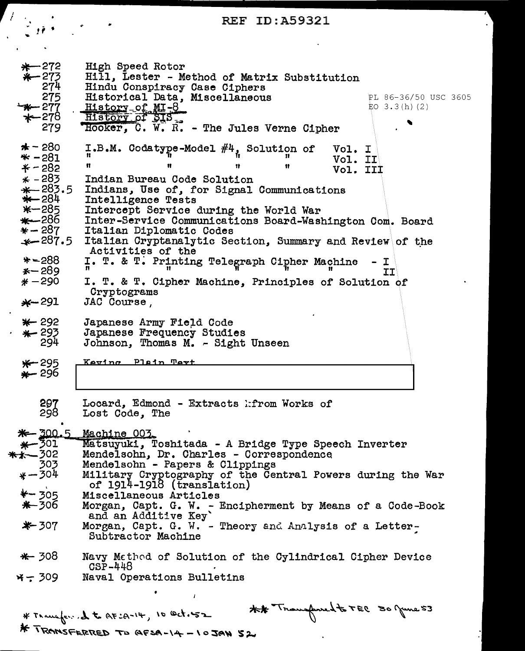## REF ID:A59321

 $\sim 10$   $\mu$ 

 $\sim$ 

| $* - 272$<br>$*-273$<br>274<br>275<br>$-x - 277$<br>279                                                                                                                                 | High Speed Rotor<br>Hill, Lester - Method of Matrix Substitution<br>Hindu Conspiracy Case Ciphers<br>Historical Data, Miscellaneous<br>PL 86-36/50 USC 3605<br>EO $3.3(h)$ (2)<br><u>History of MI-8</u><br>History of SIS<br>Hooker, C. W. R. - The Jules Verne Cipher                                                                                                                                                                                                                                                                                              |
|-----------------------------------------------------------------------------------------------------------------------------------------------------------------------------------------|----------------------------------------------------------------------------------------------------------------------------------------------------------------------------------------------------------------------------------------------------------------------------------------------------------------------------------------------------------------------------------------------------------------------------------------------------------------------------------------------------------------------------------------------------------------------|
| $\star$ – 280<br>$* - 281$<br>$* - 282$<br>$* - 283$<br>$+283.5$<br>$+284$<br>$* - 285$<br>$+286$<br>$* - 287$<br>$+287.5$<br>$* - 288$<br>$* - 289$<br>$* -290$<br>$\frac{1}{2}$ - 291 | I.B.M. Codatype-Model #4, Solution of<br>Vol. I<br>Vol. II<br>11<br>11<br>Ħ<br>Vol. III<br>Indian Bureau Code Solution<br>Indians, Use of, for Signal Communications<br>Intelligence Tests<br>Intercept Service during the World War<br>Inter-Service Communications Board-Washington Com. Board<br>Italian Diplomatic Codes<br>Italian Cryptanalytic Section, Summary and Review of the<br>Activities of the<br>I. T. & T. Printing Telegraph Cipher Machine - I<br><b>TT</b><br>I. T. & T. Cipher Machine, Principles of Solution of<br>Cryptograms<br>JAC Course, |
| $* - 292$<br>* 293<br>294                                                                                                                                                               | Japanese Army Field Code<br>Japanese Frequency Studies<br>Johnson, Thomas M. - Sight Unseen                                                                                                                                                                                                                                                                                                                                                                                                                                                                          |
| $*$ 295<br>$* - 296$                                                                                                                                                                    | Keving Plain Tert                                                                                                                                                                                                                                                                                                                                                                                                                                                                                                                                                    |
| 297<br>298                                                                                                                                                                              | Locard, Edmond - Extracts hfrom Works of<br>Lost Code, The                                                                                                                                                                                                                                                                                                                                                                                                                                                                                                           |
| $*$ -300.5<br>$* - 301$<br>$** - 302$<br>303<br>$* - 304$<br>$*$ – 305<br>$*$ -306<br>$*$ 307<br>* 308                                                                                  | Machine 003<br>Matsuyuki, Toshitada - A Bridge Type Speech Inverter<br>Mendelsohn, Dr. Charles - Correspondence<br>Mendelsohn - Papers & Clippings<br>Military Cryptography of the Central Powers during the War<br>of 1914-1918 (translation)<br>Miscellaneous Articles<br>Morgan, Capt. G. W. - Encipherment by Means of a Code-Book<br>and an Additive Key'<br>Morgan, Capt. G. W. - Theory and Analysis of a Letter-<br>Subtractor Machine<br>Navy Method of Solution of the Cylindrical Cipher Device                                                           |
| $x - 309$                                                                                                                                                                               | $CSP-448$<br>Naval Operations Bulletins                                                                                                                                                                                                                                                                                                                                                                                                                                                                                                                              |
|                                                                                                                                                                                         | ## Transferred to TEC 30 June 53<br>* Transfer dt AFIA-14, 10 Oct.52                                                                                                                                                                                                                                                                                                                                                                                                                                                                                                 |

\* TRANSFERRED TO AFSA-14-10JAN 52

 $\mathcal{A}$ 

 $\epsilon$   $\epsilon$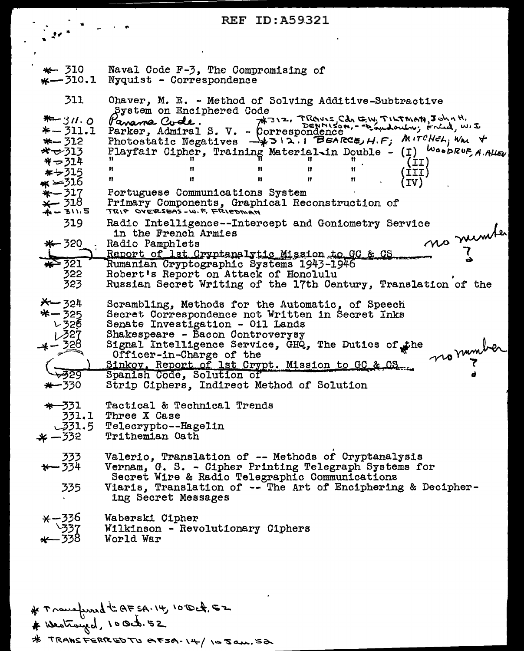## **REF ID:A59321**

 $\hat{\mathbf{r}}$ 

| * 310<br>$*-310.1$                                                                                                                             | Naval Code F-3, The Compromising of<br>Nyquist - Correspondence                                                                                                                                                                                                                                                                                                                                                                                                                                                                                                                                                                                          |
|------------------------------------------------------------------------------------------------------------------------------------------------|----------------------------------------------------------------------------------------------------------------------------------------------------------------------------------------------------------------------------------------------------------------------------------------------------------------------------------------------------------------------------------------------------------------------------------------------------------------------------------------------------------------------------------------------------------------------------------------------------------------------------------------------------------|
| 311<br>$* - 311.0$<br>*-311.1<br>$*-312$<br>$*$ $\sim$ 313<br>$* - 314$<br>$* - 315$<br>ж ∽316<br>$*-317$<br>$\star$ 318<br>$+ - 311.5$<br>319 | Ohaver, M. E. - Method of Solving Additive-Subtractive<br>System on Enciphered Code<br>Panama Cude. H312, Trave Cd, EW, TILTMAN, John H,<br>Parker, Admiral S. V. - Correspondence<br>Photostatic Negatives ->>>12.1 BEARCE, H.F; MITCHEL, Wm +<br>Playfair Cipher, Training Material in Double - (I) WoodRUF, A. Alley<br>(II)<br>Ħ<br>11<br>11.<br>$\frac{H}{H}$<br>(TII)<br>11.<br>n<br>11<br><b>Contract Contract Property</b><br><b>IV)</b><br>Portuguese Communications System<br>Primary Components, Graphical Reconstruction of<br>TRIP OVERSEAS - W.F. FRIEDMAN<br>Radio Intelligence--Intercept and Goniometry Service<br>in the French Armies |
| $* - 320$<br>* 321<br>322<br>323                                                                                                               | no number<br>Radio Pamphlets<br>Report of 1st Cryptenalytic Mission to GC & CS<br>Rumanian Cryptographic Systems 1943-1946<br>Robert's Report on Attack of Honolulu<br>Russian Secret Writing of the 17th Century, Translation of the                                                                                                                                                                                                                                                                                                                                                                                                                    |
| $x - 324$<br>*-325<br>125<br>1.327<br>$+ - \frac{328}{5}$<br>-329<br>$+-330$                                                                   | Scrambling, Methods for the Automatic, of Speech<br>Secret Correspondence not Written in Secret Inks<br>Senate Investigation - Oil Lands<br>Shakespeare - Bacon Controverysy<br>Signal Intelligence Service, GHQ, The Dutics of the<br>normale.<br>Officer-in-Charge of the<br>Sinkov. Report of 1st Crypt. Mission to GC & CS.<br>Spanish Code, Solution of<br>Strip Ciphers, Indirect Method of Solution                                                                                                                                                                                                                                               |
| *-331<br>331.5<br>$* - 332$                                                                                                                    | Tactical & Technical Trends<br>331.1 Three X Case<br>Telecrypto--Hagelin<br>Trithemian Oath                                                                                                                                                                                                                                                                                                                                                                                                                                                                                                                                                              |
| 333<br>334 <del>- 1</del><br>335                                                                                                               | Valerio, Translation of -- Methods of Cryptanalysis<br>Vernam, G. S. - Cipher Printing Telegraph Systems for<br>Secret Wire & Radio Telegraphic Communications<br>Viaris, Translation of -- The Art of Enciphering & Decipher-<br>ing Secret Messages                                                                                                                                                                                                                                                                                                                                                                                                    |
| $x - 336$<br>237<br>- 338                                                                                                                      | Waberski Cipher<br>Wilkinson - Revolutionary Ciphers<br>World War                                                                                                                                                                                                                                                                                                                                                                                                                                                                                                                                                                                        |

# Transfured to AFSA. 14, 1010ct. 52<br># Westrayed, 100ct. 52<br># TRANSFERREDTU AFSA-14/105am. 52